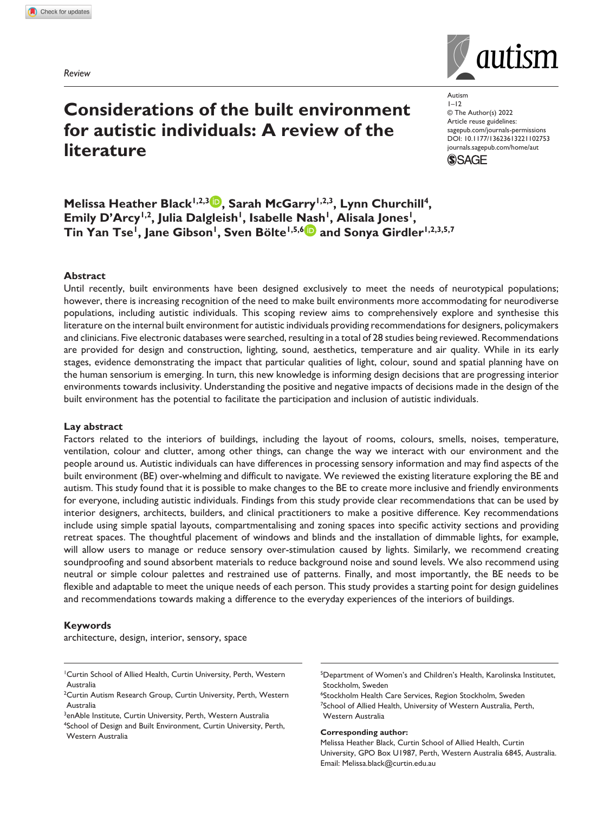*Review*

# **Considerations of the built environment for autistic individuals: A review of the literature**

Autism  $1 - 12$ © The Author(s) 2022 Article reuse guidelines: [sagepub.com/journals-permissions](https://uk.sagepub.com/en-gb/journals-permissions) https://doi.org/10.1177/13623613221102753 DOI: 10.1177/13623613221102753 [journals.sagepub.com/home/aut](https://journals.sagepub.com/home/aut) **SSAGE** 



#### **Abstract**

Until recently, built environments have been designed exclusively to meet the needs of neurotypical populations; however, there is increasing recognition of the need to make built environments more accommodating for neurodiverse populations, including autistic individuals. This scoping review aims to comprehensively explore and synthesise this literature on the internal built environment for autistic individuals providing recommendations for designers, policymakers and clinicians. Five electronic databases were searched, resulting in a total of 28 studies being reviewed. Recommendations are provided for design and construction, lighting, sound, aesthetics, temperature and air quality. While in its early stages, evidence demonstrating the impact that particular qualities of light, colour, sound and spatial planning have on the human sensorium is emerging. In turn, this new knowledge is informing design decisions that are progressing interior environments towards inclusivity. Understanding the positive and negative impacts of decisions made in the design of the built environment has the potential to facilitate the participation and inclusion of autistic individuals.

#### **Lay abstract**

Factors related to the interiors of buildings, including the layout of rooms, colours, smells, noises, temperature, ventilation, colour and clutter, among other things, can change the way we interact with our environment and the people around us. Autistic individuals can have differences in processing sensory information and may find aspects of the built environment (BE) over-whelming and difficult to navigate. We reviewed the existing literature exploring the BE and autism. This study found that it is possible to make changes to the BE to create more inclusive and friendly environments for everyone, including autistic individuals. Findings from this study provide clear recommendations that can be used by interior designers, architects, builders, and clinical practitioners to make a positive difference. Key recommendations include using simple spatial layouts, compartmentalising and zoning spaces into specific activity sections and providing retreat spaces. The thoughtful placement of windows and blinds and the installation of dimmable lights, for example, will allow users to manage or reduce sensory over-stimulation caused by lights. Similarly, we recommend creating soundproofing and sound absorbent materials to reduce background noise and sound levels. We also recommend using neutral or simple colour palettes and restrained use of patterns. Finally, and most importantly, the BE needs to be flexible and adaptable to meet the unique needs of each person. This study provides a starting point for design guidelines and recommendations towards making a difference to the everyday experiences of the interiors of buildings.

#### **Keywords**

Western Australia

architecture, design, interior, sensory, space

<sup>2</sup>Curtin Autism Research Group, Curtin University, Perth, Western Australia

<sup>3</sup>enAble Institute, Curtin University, Perth, Western Australia 4 School of Design and Built Environment, Curtin University, Perth, <sup>5</sup>Department of Women's and Children's Health, Karolinska Institutet, Stockholm, Sweden

6 Stockholm Health Care Services, Region Stockholm, Sweden 7 School of Allied Health, University of Western Australia, Perth, Western Australia

#### **Corresponding author:**

Melissa Heather Black, Curtin School of Allied Health, Curtin University, GPO Box U1987, Perth, Western Australia 6845, Australia. Email: [Melissa.black@curtin.edu.au](mailto:Melissa.black@curtin.edu.au)



<sup>1</sup> Curtin School of Allied Health, Curtin University, Perth, Western Australia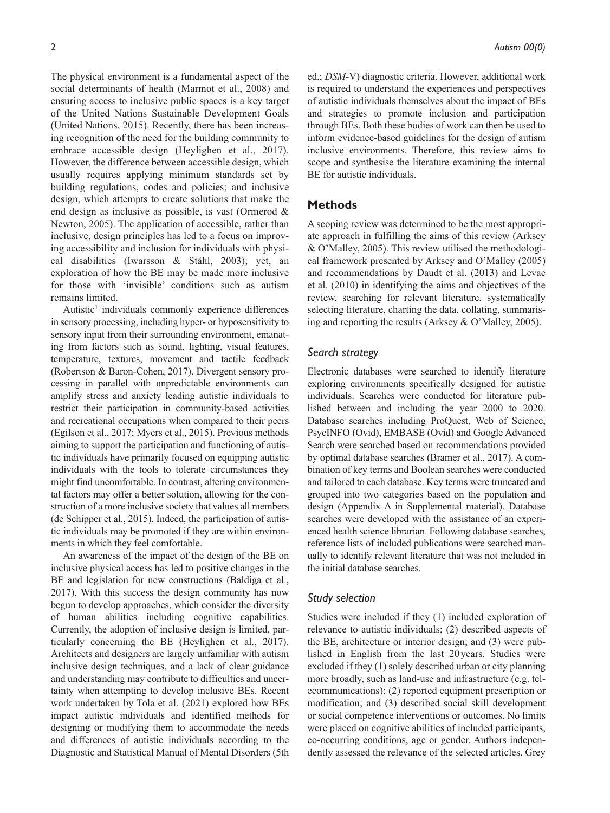The physical environment is a fundamental aspect of the social determinants of health (Marmot et al., 2008) and ensuring access to inclusive public spaces is a key target of the United Nations Sustainable Development Goals (United Nations, 2015). Recently, there has been increasing recognition of the need for the building community to embrace accessible design (Heylighen et al., 2017). However, the difference between accessible design, which usually requires applying minimum standards set by building regulations, codes and policies; and inclusive design, which attempts to create solutions that make the end design as inclusive as possible, is vast (Ormerod & Newton, 2005). The application of accessible, rather than inclusive, design principles has led to a focus on improving accessibility and inclusion for individuals with physical disabilities (Iwarsson & Ståhl, 2003); yet, an exploration of how the BE may be made more inclusive for those with 'invisible' conditions such as autism remains limited.

Autistic<sup>1</sup> individuals commonly experience differences in sensory processing, including hyper- or hyposensitivity to sensory input from their surrounding environment, emanating from factors such as sound, lighting, visual features, temperature, textures, movement and tactile feedback (Robertson & Baron-Cohen, 2017). Divergent sensory processing in parallel with unpredictable environments can amplify stress and anxiety leading autistic individuals to restrict their participation in community-based activities and recreational occupations when compared to their peers (Egilson et al., 2017; Myers et al., 2015). Previous methods aiming to support the participation and functioning of autistic individuals have primarily focused on equipping autistic individuals with the tools to tolerate circumstances they might find uncomfortable. In contrast, altering environmental factors may offer a better solution, allowing for the construction of a more inclusive society that values all members (de Schipper et al., 2015). Indeed, the participation of autistic individuals may be promoted if they are within environments in which they feel comfortable.

An awareness of the impact of the design of the BE on inclusive physical access has led to positive changes in the BE and legislation for new constructions (Baldiga et al., 2017). With this success the design community has now begun to develop approaches, which consider the diversity of human abilities including cognitive capabilities. Currently, the adoption of inclusive design is limited, particularly concerning the BE (Heylighen et al., 2017). Architects and designers are largely unfamiliar with autism inclusive design techniques, and a lack of clear guidance and understanding may contribute to difficulties and uncertainty when attempting to develop inclusive BEs. Recent work undertaken by Tola et al. (2021) explored how BEs impact autistic individuals and identified methods for designing or modifying them to accommodate the needs and differences of autistic individuals according to the Diagnostic and Statistical Manual of Mental Disorders (5th ed.; *DSM*-V) diagnostic criteria. However, additional work is required to understand the experiences and perspectives of autistic individuals themselves about the impact of BEs and strategies to promote inclusion and participation through BEs. Both these bodies of work can then be used to inform evidence-based guidelines for the design of autism inclusive environments. Therefore, this review aims to scope and synthesise the literature examining the internal BE for autistic individuals.

## **Methods**

A scoping review was determined to be the most appropriate approach in fulfilling the aims of this review (Arksey & O'Malley, 2005). This review utilised the methodological framework presented by Arksey and O'Malley (2005) and recommendations by Daudt et al. (2013) and Levac et al. (2010) in identifying the aims and objectives of the review, searching for relevant literature, systematically selecting literature, charting the data, collating, summarising and reporting the results (Arksey & O'Malley, 2005).

# *Search strategy*

Electronic databases were searched to identify literature exploring environments specifically designed for autistic individuals. Searches were conducted for literature published between and including the year 2000 to 2020. Database searches including ProQuest, Web of Science, PsycINFO (Ovid), EMBASE (Ovid) and Google Advanced Search were searched based on recommendations provided by optimal database searches (Bramer et al., 2017). A combination of key terms and Boolean searches were conducted and tailored to each database. Key terms were truncated and grouped into two categories based on the population and design (Appendix A in Supplemental material). Database searches were developed with the assistance of an experienced health science librarian. Following database searches, reference lists of included publications were searched manually to identify relevant literature that was not included in the initial database searches.

# *Study selection*

Studies were included if they (1) included exploration of relevance to autistic individuals; (2) described aspects of the BE, architecture or interior design; and (3) were published in English from the last 20 years. Studies were excluded if they (1) solely described urban or city planning more broadly, such as land-use and infrastructure (e.g. telecommunications); (2) reported equipment prescription or modification; and (3) described social skill development or social competence interventions or outcomes. No limits were placed on cognitive abilities of included participants, co-occurring conditions, age or gender. Authors independently assessed the relevance of the selected articles. Grey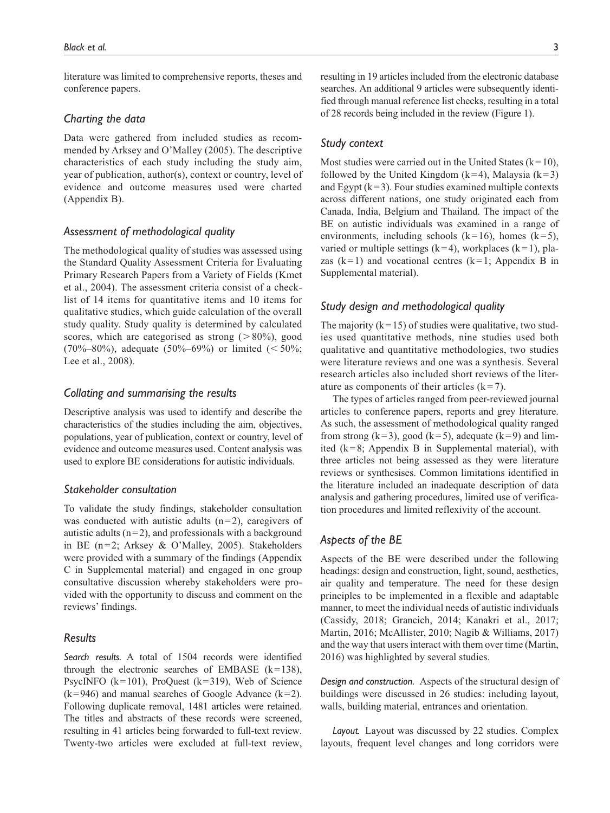literature was limited to comprehensive reports, theses and conference papers.

#### *Charting the data*

Data were gathered from included studies as recommended by Arksey and O'Malley (2005). The descriptive characteristics of each study including the study aim, year of publication, author(s), context or country, level of evidence and outcome measures used were charted (Appendix B).

## *Assessment of methodological quality*

The methodological quality of studies was assessed using the Standard Quality Assessment Criteria for Evaluating Primary Research Papers from a Variety of Fields (Kmet et al., 2004). The assessment criteria consist of a checklist of 14 items for quantitative items and 10 items for qualitative studies, which guide calculation of the overall study quality. Study quality is determined by calculated scores, which are categorised as strong  $(>80\%)$ , good  $(70\%-80\%)$ , adequate  $(50\%-69\%)$  or limited  $(<50\%$ ; Lee et al., 2008).

#### *Collating and summarising the results*

Descriptive analysis was used to identify and describe the characteristics of the studies including the aim, objectives, populations, year of publication, context or country, level of evidence and outcome measures used. Content analysis was used to explore BE considerations for autistic individuals.

## *Stakeholder consultation*

To validate the study findings, stakeholder consultation was conducted with autistic adults  $(n=2)$ , caregivers of autistic adults  $(n=2)$ , and professionals with a background in BE (n=2; Arksey & O'Malley, 2005). Stakeholders were provided with a summary of the findings (Appendix C in Supplemental material) and engaged in one group consultative discussion whereby stakeholders were provided with the opportunity to discuss and comment on the reviews' findings.

## *Results*

*Search results.* A total of 1504 records were identified through the electronic searches of EMBASE  $(k=138)$ , PsycINFO  $(k=101)$ , ProQuest  $(k=319)$ , Web of Science  $(k=946)$  and manual searches of Google Advance  $(k=2)$ . Following duplicate removal, 1481 articles were retained. The titles and abstracts of these records were screened, resulting in 41 articles being forwarded to full-text review. Twenty-two articles were excluded at full-text review, resulting in 19 articles included from the electronic database searches. An additional 9 articles were subsequently identified through manual reference list checks, resulting in a total of 28 records being included in the review (Figure 1).

#### *Study context*

Most studies were carried out in the United States ( $k=10$ ), followed by the United Kingdom  $(k=4)$ , Malaysia  $(k=3)$ and Egypt  $(k=3)$ . Four studies examined multiple contexts across different nations, one study originated each from Canada, India, Belgium and Thailand. The impact of the BE on autistic individuals was examined in a range of environments, including schools  $(k=16)$ , homes  $(k=5)$ , varied or multiple settings ( $k=4$ ), workplaces ( $k=1$ ), plazas  $(k=1)$  and vocational centres  $(k=1;$  Appendix B in Supplemental material).

## *Study design and methodological quality*

The majority  $(k=15)$  of studies were qualitative, two studies used quantitative methods, nine studies used both qualitative and quantitative methodologies, two studies were literature reviews and one was a synthesis. Several research articles also included short reviews of the literature as components of their articles  $(k=7)$ .

The types of articles ranged from peer-reviewed journal articles to conference papers, reports and grey literature. As such, the assessment of methodological quality ranged from strong (k=3), good (k=5), adequate (k=9) and limited ( $k=8$ ; Appendix B in Supplemental material), with three articles not being assessed as they were literature reviews or synthesises. Common limitations identified in the literature included an inadequate description of data analysis and gathering procedures, limited use of verification procedures and limited reflexivity of the account.

## *Aspects of the BE*

Aspects of the BE were described under the following headings: design and construction, light, sound, aesthetics, air quality and temperature. The need for these design principles to be implemented in a flexible and adaptable manner, to meet the individual needs of autistic individuals (Cassidy, 2018; Grancich, 2014; Kanakri et al., 2017; Martin, 2016; McAllister, 2010; Nagib & Williams, 2017) and the way that users interact with them over time (Martin, 2016) was highlighted by several studies.

*Design and construction.* Aspects of the structural design of buildings were discussed in 26 studies: including layout, walls, building material, entrances and orientation.

*Layout.* Layout was discussed by 22 studies. Complex layouts, frequent level changes and long corridors were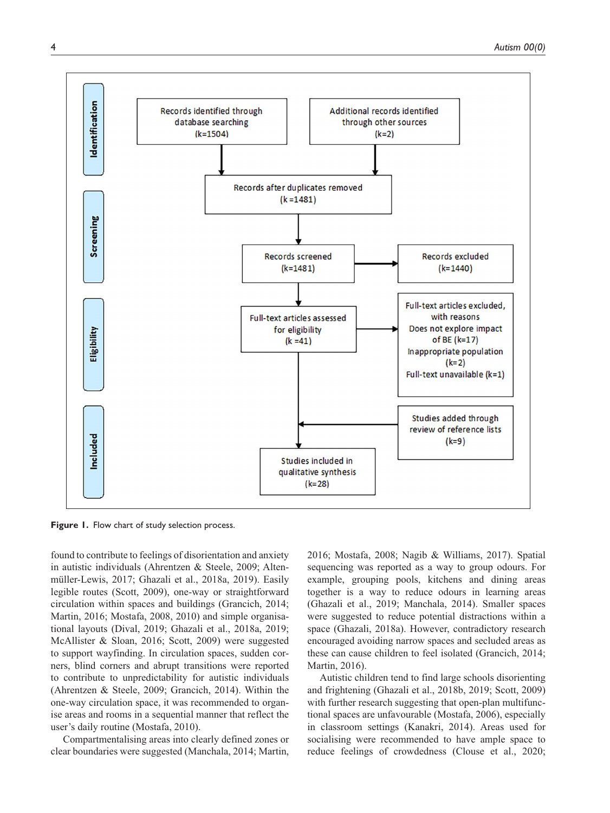

**Figure 1.** Flow chart of study selection process.

found to contribute to feelings of disorientation and anxiety in autistic individuals (Ahrentzen & Steele, 2009; Altenmüller-Lewis, 2017; Ghazali et al., 2018a, 2019). Easily legible routes (Scott, 2009), one-way or straightforward circulation within spaces and buildings (Grancich, 2014; Martin, 2016; Mostafa, 2008, 2010) and simple organisational layouts (Dival, 2019; Ghazali et al., 2018a, 2019; McAllister & Sloan, 2016; Scott, 2009) were suggested to support wayfinding. In circulation spaces, sudden corners, blind corners and abrupt transitions were reported to contribute to unpredictability for autistic individuals (Ahrentzen & Steele, 2009; Grancich, 2014). Within the one-way circulation space, it was recommended to organise areas and rooms in a sequential manner that reflect the user's daily routine (Mostafa, 2010).

Compartmentalising areas into clearly defined zones or clear boundaries were suggested (Manchala, 2014; Martin,

2016; Mostafa, 2008; Nagib & Williams, 2017). Spatial sequencing was reported as a way to group odours. For example, grouping pools, kitchens and dining areas together is a way to reduce odours in learning areas (Ghazali et al., 2019; Manchala, 2014). Smaller spaces were suggested to reduce potential distractions within a space (Ghazali, 2018a). However, contradictory research encouraged avoiding narrow spaces and secluded areas as these can cause children to feel isolated (Grancich, 2014; Martin, 2016).

Autistic children tend to find large schools disorienting and frightening (Ghazali et al., 2018b, 2019; Scott, 2009) with further research suggesting that open-plan multifunctional spaces are unfavourable (Mostafa, 2006), especially in classroom settings (Kanakri, 2014). Areas used for socialising were recommended to have ample space to reduce feelings of crowdedness (Clouse et al., 2020;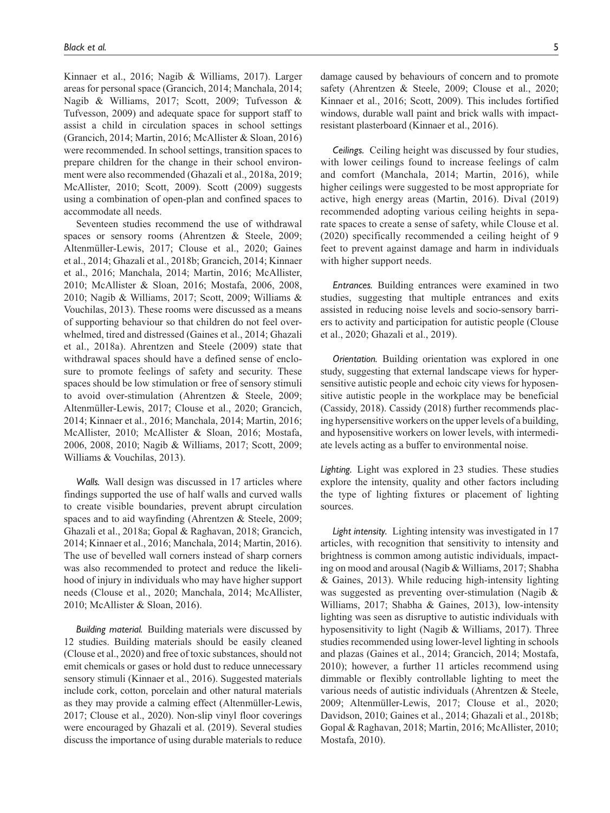Kinnaer et al., 2016; Nagib & Williams, 2017). Larger areas for personal space (Grancich, 2014; Manchala, 2014; Nagib & Williams, 2017; Scott, 2009; Tufvesson & Tufvesson, 2009) and adequate space for support staff to assist a child in circulation spaces in school settings (Grancich, 2014; Martin, 2016; McAllister & Sloan, 2016) were recommended. In school settings, transition spaces to prepare children for the change in their school environment were also recommended (Ghazali et al., 2018a, 2019; McAllister, 2010; Scott, 2009). Scott (2009) suggests using a combination of open-plan and confined spaces to accommodate all needs.

Seventeen studies recommend the use of withdrawal spaces or sensory rooms (Ahrentzen & Steele, 2009; Altenmüller-Lewis, 2017; Clouse et al., 2020; Gaines et al., 2014; Ghazali et al., 2018b; Grancich, 2014; Kinnaer et al., 2016; Manchala, 2014; Martin, 2016; McAllister, 2010; McAllister & Sloan, 2016; Mostafa, 2006, 2008, 2010; Nagib & Williams, 2017; Scott, 2009; Williams & Vouchilas, 2013). These rooms were discussed as a means of supporting behaviour so that children do not feel overwhelmed, tired and distressed (Gaines et al., 2014; Ghazali et al., 2018a). Ahrentzen and Steele (2009) state that withdrawal spaces should have a defined sense of enclosure to promote feelings of safety and security. These spaces should be low stimulation or free of sensory stimuli to avoid over-stimulation (Ahrentzen & Steele, 2009; Altenmüller-Lewis, 2017; Clouse et al., 2020; Grancich, 2014; Kinnaer et al., 2016; Manchala, 2014; Martin, 2016; McAllister, 2010; McAllister & Sloan, 2016; Mostafa, 2006, 2008, 2010; Nagib & Williams, 2017; Scott, 2009; Williams & Vouchilas, 2013).

*Walls.* Wall design was discussed in 17 articles where findings supported the use of half walls and curved walls to create visible boundaries, prevent abrupt circulation spaces and to aid wayfinding (Ahrentzen & Steele, 2009; Ghazali et al., 2018a; Gopal & Raghavan, 2018; Grancich, 2014; Kinnaer et al., 2016; Manchala, 2014; Martin, 2016). The use of bevelled wall corners instead of sharp corners was also recommended to protect and reduce the likelihood of injury in individuals who may have higher support needs (Clouse et al., 2020; Manchala, 2014; McAllister, 2010; McAllister & Sloan, 2016).

*Building material.* Building materials were discussed by 12 studies. Building materials should be easily cleaned (Clouse et al., 2020) and free of toxic substances, should not emit chemicals or gases or hold dust to reduce unnecessary sensory stimuli (Kinnaer et al., 2016). Suggested materials include cork, cotton, porcelain and other natural materials as they may provide a calming effect (Altenmüller-Lewis, 2017; Clouse et al., 2020). Non-slip vinyl floor coverings were encouraged by Ghazali et al. (2019). Several studies discuss the importance of using durable materials to reduce

damage caused by behaviours of concern and to promote safety (Ahrentzen & Steele, 2009; Clouse et al., 2020; Kinnaer et al., 2016; Scott, 2009). This includes fortified windows, durable wall paint and brick walls with impactresistant plasterboard (Kinnaer et al., 2016).

*Ceilings.* Ceiling height was discussed by four studies, with lower ceilings found to increase feelings of calm and comfort (Manchala, 2014; Martin, 2016), while higher ceilings were suggested to be most appropriate for active, high energy areas (Martin, 2016). Dival (2019) recommended adopting various ceiling heights in separate spaces to create a sense of safety, while Clouse et al. (2020) specifically recommended a ceiling height of 9 feet to prevent against damage and harm in individuals with higher support needs.

*Entrances.* Building entrances were examined in two studies, suggesting that multiple entrances and exits assisted in reducing noise levels and socio-sensory barriers to activity and participation for autistic people (Clouse et al., 2020; Ghazali et al., 2019).

*Orientation.* Building orientation was explored in one study, suggesting that external landscape views for hypersensitive autistic people and echoic city views for hyposensitive autistic people in the workplace may be beneficial (Cassidy, 2018). Cassidy (2018) further recommends placing hypersensitive workers on the upper levels of a building, and hyposensitive workers on lower levels, with intermediate levels acting as a buffer to environmental noise.

*Lighting.* Light was explored in 23 studies. These studies explore the intensity, quality and other factors including the type of lighting fixtures or placement of lighting sources.

*Light intensity.* Lighting intensity was investigated in 17 articles, with recognition that sensitivity to intensity and brightness is common among autistic individuals, impacting on mood and arousal (Nagib & Williams, 2017; Shabha & Gaines, 2013). While reducing high-intensity lighting was suggested as preventing over-stimulation (Nagib & Williams, 2017; Shabha & Gaines, 2013), low-intensity lighting was seen as disruptive to autistic individuals with hyposensitivity to light (Nagib & Williams, 2017). Three studies recommended using lower-level lighting in schools and plazas (Gaines et al., 2014; Grancich, 2014; Mostafa, 2010); however, a further 11 articles recommend using dimmable or flexibly controllable lighting to meet the various needs of autistic individuals (Ahrentzen & Steele, 2009; Altenmüller-Lewis, 2017; Clouse et al., 2020; Davidson, 2010; Gaines et al., 2014; Ghazali et al., 2018b; Gopal & Raghavan, 2018; Martin, 2016; McAllister, 2010; Mostafa, 2010).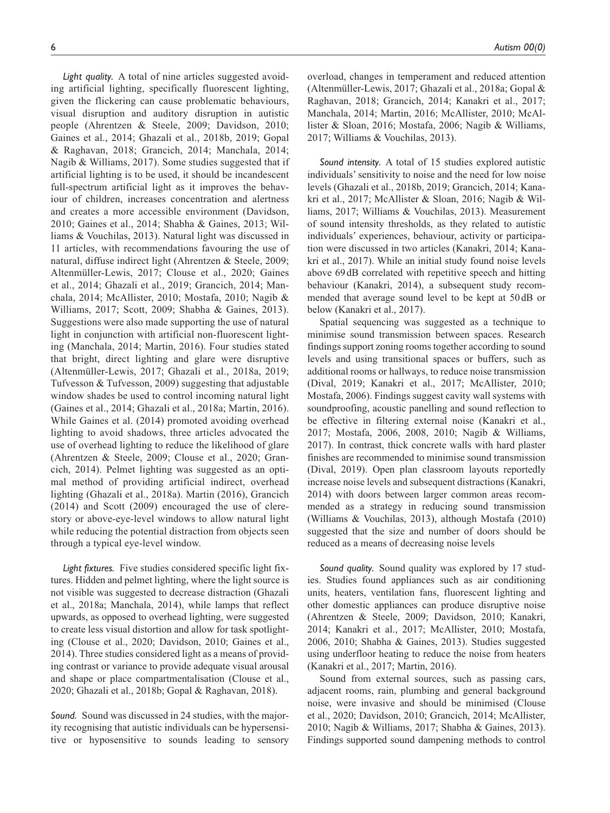*Light quality.* A total of nine articles suggested avoiding artificial lighting, specifically fluorescent lighting, given the flickering can cause problematic behaviours, visual disruption and auditory disruption in autistic people (Ahrentzen & Steele, 2009; Davidson, 2010; Gaines et al., 2014; Ghazali et al., 2018b, 2019; Gopal & Raghavan, 2018; Grancich, 2014; Manchala, 2014; Nagib & Williams, 2017). Some studies suggested that if artificial lighting is to be used, it should be incandescent full-spectrum artificial light as it improves the behaviour of children, increases concentration and alertness and creates a more accessible environment (Davidson, 2010; Gaines et al., 2014; Shabha & Gaines, 2013; Williams & Vouchilas, 2013). Natural light was discussed in 11 articles, with recommendations favouring the use of natural, diffuse indirect light (Ahrentzen & Steele, 2009; Altenmüller-Lewis, 2017; Clouse et al., 2020; Gaines et al., 2014; Ghazali et al., 2019; Grancich, 2014; Manchala, 2014; McAllister, 2010; Mostafa, 2010; Nagib & Williams, 2017; Scott, 2009; Shabha & Gaines, 2013). Suggestions were also made supporting the use of natural light in conjunction with artificial non-fluorescent lighting (Manchala, 2014; Martin, 2016). Four studies stated that bright, direct lighting and glare were disruptive (Altenmüller-Lewis, 2017; Ghazali et al., 2018a, 2019; Tufvesson & Tufvesson, 2009) suggesting that adjustable window shades be used to control incoming natural light (Gaines et al., 2014; Ghazali et al., 2018a; Martin, 2016). While Gaines et al. (2014) promoted avoiding overhead lighting to avoid shadows, three articles advocated the use of overhead lighting to reduce the likelihood of glare (Ahrentzen & Steele, 2009; Clouse et al., 2020; Grancich, 2014). Pelmet lighting was suggested as an optimal method of providing artificial indirect, overhead lighting (Ghazali et al., 2018a). Martin (2016), Grancich (2014) and Scott (2009) encouraged the use of clerestory or above-eye-level windows to allow natural light while reducing the potential distraction from objects seen through a typical eye-level window.

*Light fixtures.* Five studies considered specific light fixtures. Hidden and pelmet lighting, where the light source is not visible was suggested to decrease distraction (Ghazali et al., 2018a; Manchala, 2014), while lamps that reflect upwards, as opposed to overhead lighting, were suggested to create less visual distortion and allow for task spotlighting (Clouse et al., 2020; Davidson, 2010; Gaines et al., 2014). Three studies considered light as a means of providing contrast or variance to provide adequate visual arousal and shape or place compartmentalisation (Clouse et al., 2020; Ghazali et al., 2018b; Gopal & Raghavan, 2018).

*Sound.* Sound was discussed in 24 studies, with the majority recognising that autistic individuals can be hypersensitive or hyposensitive to sounds leading to sensory overload, changes in temperament and reduced attention (Altenmüller-Lewis, 2017; Ghazali et al., 2018a; Gopal & Raghavan, 2018; Grancich, 2014; Kanakri et al., 2017; Manchala, 2014; Martin, 2016; McAllister, 2010; McAllister & Sloan, 2016; Mostafa, 2006; Nagib & Williams, 2017; Williams & Vouchilas, 2013).

*Sound intensity.* A total of 15 studies explored autistic individuals' sensitivity to noise and the need for low noise levels (Ghazali et al., 2018b, 2019; Grancich, 2014; Kanakri et al., 2017; McAllister & Sloan, 2016; Nagib & Williams, 2017; Williams & Vouchilas, 2013). Measurement of sound intensity thresholds, as they related to autistic individuals' experiences, behaviour, activity or participation were discussed in two articles (Kanakri, 2014; Kanakri et al., 2017). While an initial study found noise levels above 69dB correlated with repetitive speech and hitting behaviour (Kanakri, 2014), a subsequent study recommended that average sound level to be kept at 50dB or below (Kanakri et al., 2017).

Spatial sequencing was suggested as a technique to minimise sound transmission between spaces. Research findings support zoning rooms together according to sound levels and using transitional spaces or buffers, such as additional rooms or hallways, to reduce noise transmission (Dival, 2019; Kanakri et al., 2017; McAllister, 2010; Mostafa, 2006). Findings suggest cavity wall systems with soundproofing, acoustic panelling and sound reflection to be effective in filtering external noise (Kanakri et al., 2017; Mostafa, 2006, 2008, 2010; Nagib & Williams, 2017). In contrast, thick concrete walls with hard plaster finishes are recommended to minimise sound transmission (Dival, 2019). Open plan classroom layouts reportedly increase noise levels and subsequent distractions (Kanakri, 2014) with doors between larger common areas recommended as a strategy in reducing sound transmission (Williams & Vouchilas, 2013), although Mostafa (2010) suggested that the size and number of doors should be reduced as a means of decreasing noise levels

*Sound quality.* Sound quality was explored by 17 studies. Studies found appliances such as air conditioning units, heaters, ventilation fans, fluorescent lighting and other domestic appliances can produce disruptive noise (Ahrentzen & Steele, 2009; Davidson, 2010; Kanakri, 2014; Kanakri et al., 2017; McAllister, 2010; Mostafa, 2006, 2010; Shabha & Gaines, 2013). Studies suggested using underfloor heating to reduce the noise from heaters (Kanakri et al., 2017; Martin, 2016).

Sound from external sources, such as passing cars, adjacent rooms, rain, plumbing and general background noise, were invasive and should be minimised (Clouse et al., 2020; Davidson, 2010; Grancich, 2014; McAllister, 2010; Nagib & Williams, 2017; Shabha & Gaines, 2013). Findings supported sound dampening methods to control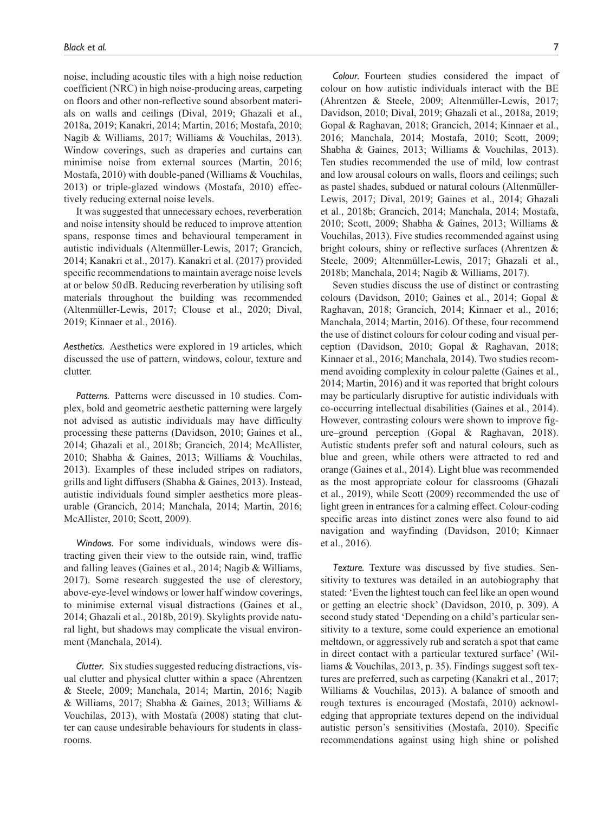noise, including acoustic tiles with a high noise reduction coefficient (NRC) in high noise-producing areas, carpeting on floors and other non-reflective sound absorbent materials on walls and ceilings (Dival, 2019; Ghazali et al., 2018a, 2019; Kanakri, 2014; Martin, 2016; Mostafa, 2010; Nagib & Williams, 2017; Williams & Vouchilas, 2013). Window coverings, such as draperies and curtains can minimise noise from external sources (Martin, 2016; Mostafa, 2010) with double-paned (Williams & Vouchilas, 2013) or triple-glazed windows (Mostafa, 2010) effectively reducing external noise levels.

It was suggested that unnecessary echoes, reverberation and noise intensity should be reduced to improve attention spans, response times and behavioural temperament in autistic individuals (Altenmüller-Lewis, 2017; Grancich, 2014; Kanakri et al., 2017). Kanakri et al. (2017) provided specific recommendations to maintain average noise levels at or below 50dB. Reducing reverberation by utilising soft materials throughout the building was recommended (Altenmüller-Lewis, 2017; Clouse et al., 2020; Dival, 2019; Kinnaer et al., 2016).

*Aesthetics.* Aesthetics were explored in 19 articles, which discussed the use of pattern, windows, colour, texture and clutter.

*Patterns.* Patterns were discussed in 10 studies. Complex, bold and geometric aesthetic patterning were largely not advised as autistic individuals may have difficulty processing these patterns (Davidson, 2010; Gaines et al., 2014; Ghazali et al., 2018b; Grancich, 2014; McAllister, 2010; Shabha & Gaines, 2013; Williams & Vouchilas, 2013). Examples of these included stripes on radiators, grills and light diffusers (Shabha & Gaines, 2013). Instead, autistic individuals found simpler aesthetics more pleasurable (Grancich, 2014; Manchala, 2014; Martin, 2016; McAllister, 2010; Scott, 2009).

*Windows.* For some individuals, windows were distracting given their view to the outside rain, wind, traffic and falling leaves (Gaines et al., 2014; Nagib & Williams, 2017). Some research suggested the use of clerestory, above-eye-level windows or lower half window coverings, to minimise external visual distractions (Gaines et al., 2014; Ghazali et al., 2018b, 2019). Skylights provide natural light, but shadows may complicate the visual environment (Manchala, 2014).

*Clutter.* Six studies suggested reducing distractions, visual clutter and physical clutter within a space (Ahrentzen & Steele, 2009; Manchala, 2014; Martin, 2016; Nagib & Williams, 2017; Shabha & Gaines, 2013; Williams & Vouchilas, 2013), with Mostafa (2008) stating that clutter can cause undesirable behaviours for students in classrooms.

*Colour.* Fourteen studies considered the impact of colour on how autistic individuals interact with the BE (Ahrentzen & Steele, 2009; Altenmüller-Lewis, 2017; Davidson, 2010; Dival, 2019; Ghazali et al., 2018a, 2019; Gopal & Raghavan, 2018; Grancich, 2014; Kinnaer et al., 2016; Manchala, 2014; Mostafa, 2010; Scott, 2009; Shabha & Gaines, 2013; Williams & Vouchilas, 2013). Ten studies recommended the use of mild, low contrast and low arousal colours on walls, floors and ceilings; such as pastel shades, subdued or natural colours (Altenmüller-Lewis, 2017; Dival, 2019; Gaines et al., 2014; Ghazali et al., 2018b; Grancich, 2014; Manchala, 2014; Mostafa, 2010; Scott, 2009; Shabha & Gaines, 2013; Williams & Vouchilas, 2013). Five studies recommended against using bright colours, shiny or reflective surfaces (Ahrentzen & Steele, 2009; Altenmüller-Lewis, 2017; Ghazali et al., 2018b; Manchala, 2014; Nagib & Williams, 2017).

Seven studies discuss the use of distinct or contrasting colours (Davidson, 2010; Gaines et al., 2014; Gopal & Raghavan, 2018; Grancich, 2014; Kinnaer et al., 2016; Manchala, 2014; Martin, 2016). Of these, four recommend the use of distinct colours for colour coding and visual perception (Davidson, 2010; Gopal & Raghavan, 2018; Kinnaer et al., 2016; Manchala, 2014). Two studies recommend avoiding complexity in colour palette (Gaines et al., 2014; Martin, 2016) and it was reported that bright colours may be particularly disruptive for autistic individuals with co-occurring intellectual disabilities (Gaines et al., 2014). However, contrasting colours were shown to improve figure–ground perception (Gopal & Raghavan, 2018). Autistic students prefer soft and natural colours, such as blue and green, while others were attracted to red and orange (Gaines et al., 2014). Light blue was recommended as the most appropriate colour for classrooms (Ghazali et al., 2019), while Scott (2009) recommended the use of light green in entrances for a calming effect. Colour-coding specific areas into distinct zones were also found to aid navigation and wayfinding (Davidson, 2010; Kinnaer et al., 2016).

*Texture.* Texture was discussed by five studies. Sensitivity to textures was detailed in an autobiography that stated: 'Even the lightest touch can feel like an open wound or getting an electric shock' (Davidson, 2010, p. 309). A second study stated 'Depending on a child's particular sensitivity to a texture, some could experience an emotional meltdown, or aggressively rub and scratch a spot that came in direct contact with a particular textured surface' (Williams & Vouchilas, 2013, p. 35). Findings suggest soft textures are preferred, such as carpeting (Kanakri et al., 2017; Williams & Vouchilas, 2013). A balance of smooth and rough textures is encouraged (Mostafa, 2010) acknowledging that appropriate textures depend on the individual autistic person's sensitivities (Mostafa, 2010). Specific recommendations against using high shine or polished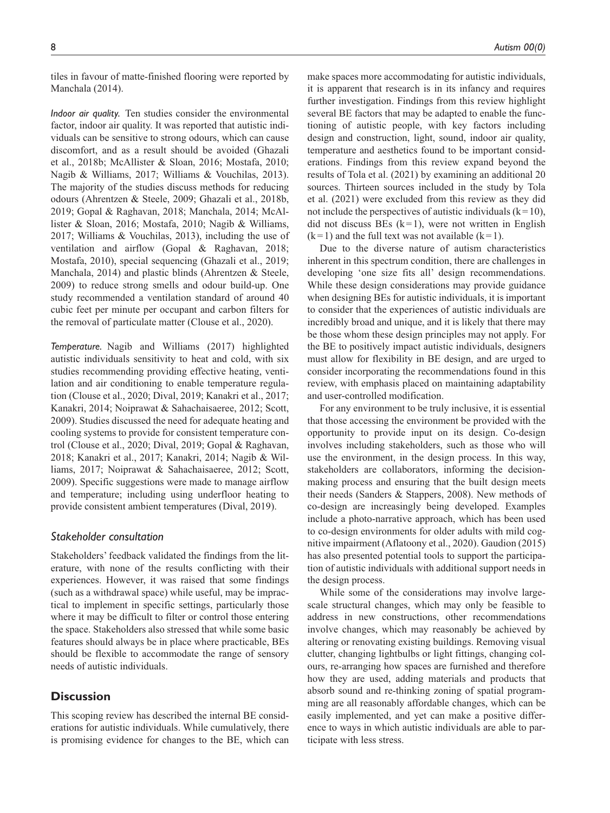tiles in favour of matte-finished flooring were reported by Manchala (2014).

*Indoor air quality.* Ten studies consider the environmental factor, indoor air quality. It was reported that autistic individuals can be sensitive to strong odours, which can cause discomfort, and as a result should be avoided (Ghazali et al., 2018b; McAllister & Sloan, 2016; Mostafa, 2010; Nagib & Williams, 2017; Williams & Vouchilas, 2013). The majority of the studies discuss methods for reducing odours (Ahrentzen & Steele, 2009; Ghazali et al., 2018b, 2019; Gopal & Raghavan, 2018; Manchala, 2014; McAllister & Sloan, 2016; Mostafa, 2010; Nagib & Williams, 2017; Williams & Vouchilas, 2013), including the use of ventilation and airflow (Gopal & Raghavan, 2018; Mostafa, 2010), special sequencing (Ghazali et al., 2019; Manchala, 2014) and plastic blinds (Ahrentzen & Steele, 2009) to reduce strong smells and odour build-up. One study recommended a ventilation standard of around 40 cubic feet per minute per occupant and carbon filters for the removal of particulate matter (Clouse et al., 2020).

*Temperature.* Nagib and Williams (2017) highlighted autistic individuals sensitivity to heat and cold, with six studies recommending providing effective heating, ventilation and air conditioning to enable temperature regulation (Clouse et al., 2020; Dival, 2019; Kanakri et al., 2017; Kanakri, 2014; Noiprawat & Sahachaisaeree, 2012; Scott, 2009). Studies discussed the need for adequate heating and cooling systems to provide for consistent temperature control (Clouse et al., 2020; Dival, 2019; Gopal & Raghavan, 2018; Kanakri et al., 2017; Kanakri, 2014; Nagib & Williams, 2017; Noiprawat & Sahachaisaeree, 2012; Scott, 2009). Specific suggestions were made to manage airflow and temperature; including using underfloor heating to provide consistent ambient temperatures (Dival, 2019).

## *Stakeholder consultation*

Stakeholders' feedback validated the findings from the literature, with none of the results conflicting with their experiences. However, it was raised that some findings (such as a withdrawal space) while useful, may be impractical to implement in specific settings, particularly those where it may be difficult to filter or control those entering the space. Stakeholders also stressed that while some basic features should always be in place where practicable, BEs should be flexible to accommodate the range of sensory needs of autistic individuals.

# **Discussion**

This scoping review has described the internal BE considerations for autistic individuals. While cumulatively, there is promising evidence for changes to the BE, which can make spaces more accommodating for autistic individuals, it is apparent that research is in its infancy and requires further investigation. Findings from this review highlight several BE factors that may be adapted to enable the functioning of autistic people, with key factors including design and construction, light, sound, indoor air quality, temperature and aesthetics found to be important considerations. Findings from this review expand beyond the results of Tola et al. (2021) by examining an additional 20 sources. Thirteen sources included in the study by Tola et al. (2021) were excluded from this review as they did not include the perspectives of autistic individuals  $(k=10)$ , did not discuss BEs  $(k=1)$ , were not written in English  $(k=1)$  and the full text was not available  $(k=1)$ .

Due to the diverse nature of autism characteristics inherent in this spectrum condition, there are challenges in developing 'one size fits all' design recommendations. While these design considerations may provide guidance when designing BEs for autistic individuals, it is important to consider that the experiences of autistic individuals are incredibly broad and unique, and it is likely that there may be those whom these design principles may not apply. For the BE to positively impact autistic individuals, designers must allow for flexibility in BE design, and are urged to consider incorporating the recommendations found in this review, with emphasis placed on maintaining adaptability and user-controlled modification.

For any environment to be truly inclusive, it is essential that those accessing the environment be provided with the opportunity to provide input on its design. Co-design involves including stakeholders, such as those who will use the environment, in the design process. In this way, stakeholders are collaborators, informing the decisionmaking process and ensuring that the built design meets their needs (Sanders & Stappers, 2008). New methods of co-design are increasingly being developed. Examples include a photo-narrative approach, which has been used to co-design environments for older adults with mild cognitive impairment (Aflatoony et al., 2020). Gaudion (2015) has also presented potential tools to support the participation of autistic individuals with additional support needs in the design process.

While some of the considerations may involve largescale structural changes, which may only be feasible to address in new constructions, other recommendations involve changes, which may reasonably be achieved by altering or renovating existing buildings. Removing visual clutter, changing lightbulbs or light fittings, changing colours, re-arranging how spaces are furnished and therefore how they are used, adding materials and products that absorb sound and re-thinking zoning of spatial programming are all reasonably affordable changes, which can be easily implemented, and yet can make a positive difference to ways in which autistic individuals are able to participate with less stress.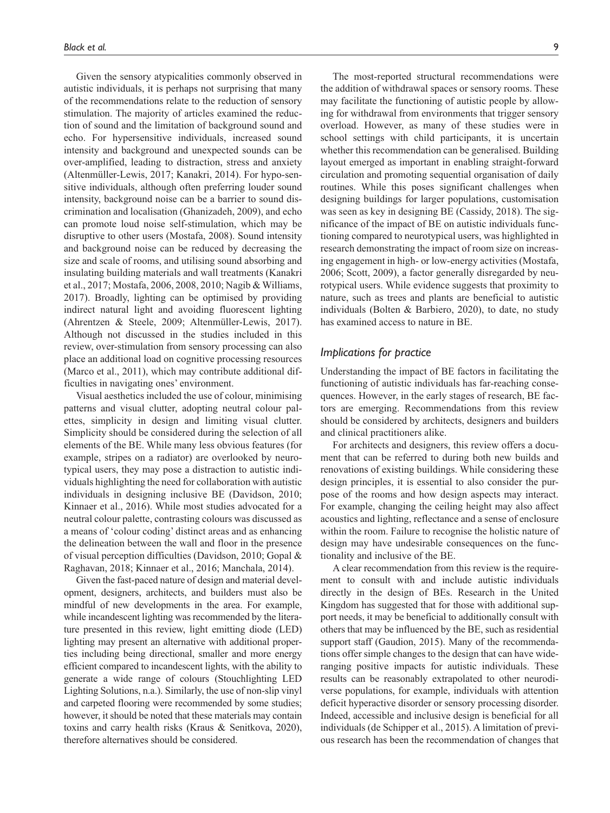Given the sensory atypicalities commonly observed in autistic individuals, it is perhaps not surprising that many of the recommendations relate to the reduction of sensory stimulation. The majority of articles examined the reduction of sound and the limitation of background sound and echo. For hypersensitive individuals, increased sound intensity and background and unexpected sounds can be over-amplified, leading to distraction, stress and anxiety (Altenmüller-Lewis, 2017; Kanakri, 2014). For hypo-sensitive individuals, although often preferring louder sound intensity, background noise can be a barrier to sound discrimination and localisation (Ghanizadeh, 2009), and echo can promote loud noise self-stimulation, which may be disruptive to other users (Mostafa, 2008). Sound intensity and background noise can be reduced by decreasing the size and scale of rooms, and utilising sound absorbing and insulating building materials and wall treatments (Kanakri et al., 2017; Mostafa, 2006, 2008, 2010; Nagib & Williams, 2017). Broadly, lighting can be optimised by providing indirect natural light and avoiding fluorescent lighting (Ahrentzen & Steele, 2009; Altenmüller-Lewis, 2017). Although not discussed in the studies included in this review, over-stimulation from sensory processing can also place an additional load on cognitive processing resources (Marco et al., 2011), which may contribute additional difficulties in navigating ones' environment.

Visual aesthetics included the use of colour, minimising patterns and visual clutter, adopting neutral colour palettes, simplicity in design and limiting visual clutter. Simplicity should be considered during the selection of all elements of the BE. While many less obvious features (for example, stripes on a radiator) are overlooked by neurotypical users, they may pose a distraction to autistic individuals highlighting the need for collaboration with autistic individuals in designing inclusive BE (Davidson, 2010; Kinnaer et al., 2016). While most studies advocated for a neutral colour palette, contrasting colours was discussed as a means of 'colour coding' distinct areas and as enhancing the delineation between the wall and floor in the presence of visual perception difficulties (Davidson, 2010; Gopal & Raghavan, 2018; Kinnaer et al., 2016; Manchala, 2014).

Given the fast-paced nature of design and material development, designers, architects, and builders must also be mindful of new developments in the area. For example, while incandescent lighting was recommended by the literature presented in this review, light emitting diode (LED) lighting may present an alternative with additional properties including being directional, smaller and more energy efficient compared to incandescent lights, with the ability to generate a wide range of colours (Stouchlighting LED Lighting Solutions, n.a.). Similarly, the use of non-slip vinyl and carpeted flooring were recommended by some studies; however, it should be noted that these materials may contain toxins and carry health risks (Kraus & Senitkova, 2020), therefore alternatives should be considered.

The most-reported structural recommendations were the addition of withdrawal spaces or sensory rooms. These may facilitate the functioning of autistic people by allowing for withdrawal from environments that trigger sensory overload. However, as many of these studies were in school settings with child participants, it is uncertain whether this recommendation can be generalised. Building layout emerged as important in enabling straight-forward circulation and promoting sequential organisation of daily routines. While this poses significant challenges when designing buildings for larger populations, customisation was seen as key in designing BE (Cassidy, 2018). The significance of the impact of BE on autistic individuals functioning compared to neurotypical users, was highlighted in research demonstrating the impact of room size on increasing engagement in high- or low-energy activities (Mostafa, 2006; Scott, 2009), a factor generally disregarded by neurotypical users. While evidence suggests that proximity to nature, such as trees and plants are beneficial to autistic individuals (Bolten & Barbiero, 2020), to date, no study has examined access to nature in BE.

# *Implications for practice*

Understanding the impact of BE factors in facilitating the functioning of autistic individuals has far-reaching consequences. However, in the early stages of research, BE factors are emerging. Recommendations from this review should be considered by architects, designers and builders and clinical practitioners alike.

For architects and designers, this review offers a document that can be referred to during both new builds and renovations of existing buildings. While considering these design principles, it is essential to also consider the purpose of the rooms and how design aspects may interact. For example, changing the ceiling height may also affect acoustics and lighting, reflectance and a sense of enclosure within the room. Failure to recognise the holistic nature of design may have undesirable consequences on the functionality and inclusive of the BE.

A clear recommendation from this review is the requirement to consult with and include autistic individuals directly in the design of BEs. Research in the United Kingdom has suggested that for those with additional support needs, it may be beneficial to additionally consult with others that may be influenced by the BE, such as residential support staff (Gaudion, 2015). Many of the recommendations offer simple changes to the design that can have wideranging positive impacts for autistic individuals. These results can be reasonably extrapolated to other neurodiverse populations, for example, individuals with attention deficit hyperactive disorder or sensory processing disorder. Indeed, accessible and inclusive design is beneficial for all individuals (de Schipper et al., 2015). A limitation of previous research has been the recommendation of changes that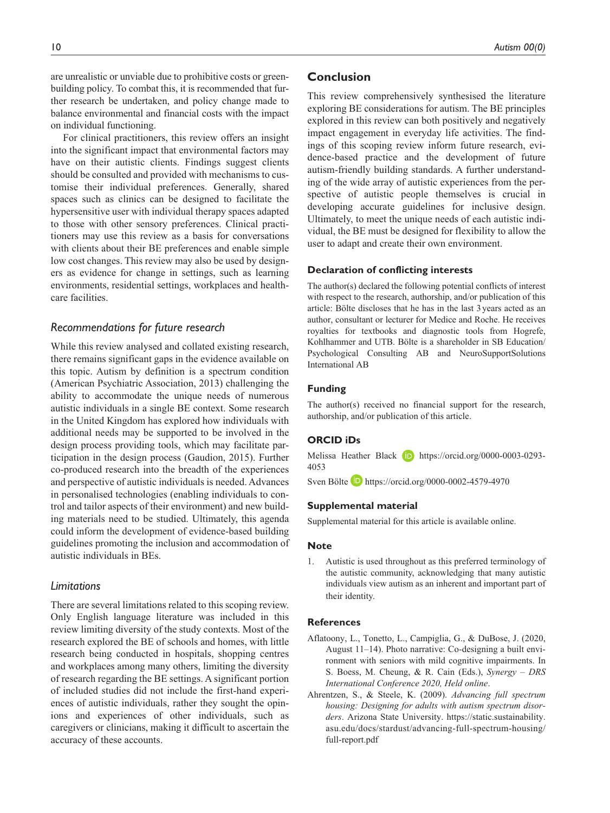are unrealistic or unviable due to prohibitive costs or greenbuilding policy. To combat this, it is recommended that further research be undertaken, and policy change made to balance environmental and financial costs with the impact on individual functioning.

For clinical practitioners, this review offers an insight into the significant impact that environmental factors may have on their autistic clients. Findings suggest clients should be consulted and provided with mechanisms to customise their individual preferences. Generally, shared spaces such as clinics can be designed to facilitate the hypersensitive user with individual therapy spaces adapted to those with other sensory preferences. Clinical practitioners may use this review as a basis for conversations with clients about their BE preferences and enable simple low cost changes. This review may also be used by designers as evidence for change in settings, such as learning environments, residential settings, workplaces and healthcare facilities.

# *Recommendations for future research*

While this review analysed and collated existing research, there remains significant gaps in the evidence available on this topic. Autism by definition is a spectrum condition (American Psychiatric Association, 2013) challenging the ability to accommodate the unique needs of numerous autistic individuals in a single BE context. Some research in the United Kingdom has explored how individuals with additional needs may be supported to be involved in the design process providing tools, which may facilitate participation in the design process (Gaudion, 2015). Further co-produced research into the breadth of the experiences and perspective of autistic individuals is needed. Advances in personalised technologies (enabling individuals to control and tailor aspects of their environment) and new building materials need to be studied. Ultimately, this agenda could inform the development of evidence-based building guidelines promoting the inclusion and accommodation of autistic individuals in BEs.

## *Limitations*

There are several limitations related to this scoping review. Only English language literature was included in this review limiting diversity of the study contexts. Most of the research explored the BE of schools and homes, with little research being conducted in hospitals, shopping centres and workplaces among many others, limiting the diversity of research regarding the BE settings. A significant portion of included studies did not include the first-hand experiences of autistic individuals, rather they sought the opinions and experiences of other individuals, such as caregivers or clinicians, making it difficult to ascertain the accuracy of these accounts.

# **Conclusion**

This review comprehensively synthesised the literature exploring BE considerations for autism. The BE principles explored in this review can both positively and negatively impact engagement in everyday life activities. The findings of this scoping review inform future research, evidence-based practice and the development of future autism-friendly building standards. A further understanding of the wide array of autistic experiences from the perspective of autistic people themselves is crucial in developing accurate guidelines for inclusive design. Ultimately, to meet the unique needs of each autistic individual, the BE must be designed for flexibility to allow the user to adapt and create their own environment.

## **Declaration of conflicting interests**

The author(s) declared the following potential conflicts of interest with respect to the research, authorship, and/or publication of this article: Bölte discloses that he has in the last 3years acted as an author, consultant or lecturer for Medice and Roche. He receives royalties for textbooks and diagnostic tools from Hogrefe, Kohlhammer and UTB. Bölte is a shareholder in SB Education/ Psychological Consulting AB and NeuroSupportSolutions International AB

#### **Funding**

The author(s) received no financial support for the research, authorship, and/or publication of this article.

## **ORCID iDs**

Melissa Heather Black **iD** [https://orcid.org/0000-0003-0293-](https://orcid.org/0000-0003-0293-4053) [4053](https://orcid.org/0000-0003-0293-4053)

Sven Bölte <https://orcid.org/0000-0002-4579-4970>

#### **Supplemental material**

Supplemental material for this article is available online.

#### **Note**

1. Autistic is used throughout as this preferred terminology of the autistic community, acknowledging that many autistic individuals view autism as an inherent and important part of their identity.

#### **References**

- Aflatoony, L., Tonetto, L., Campiglia, G., & DuBose, J. (2020, August 11–14). Photo narrative: Co-designing a built environment with seniors with mild cognitive impairments. In S. Boess, M. Cheung, & R. Cain (Eds.), *Synergy – DRS International Conference 2020, Held online*.
- Ahrentzen, S., & Steele, K. (2009). *Advancing full spectrum housing: Designing for adults with autism spectrum disorders*. Arizona State University. [https://static.sustainability.](https://static.sustainability.asu.edu/docs/stardust/advancing-full-spectrum-housing/full-report.pdf) [asu.edu/docs/stardust/advancing-full-spectrum-housing/](https://static.sustainability.asu.edu/docs/stardust/advancing-full-spectrum-housing/full-report.pdf) [full-report.pdf](https://static.sustainability.asu.edu/docs/stardust/advancing-full-spectrum-housing/full-report.pdf)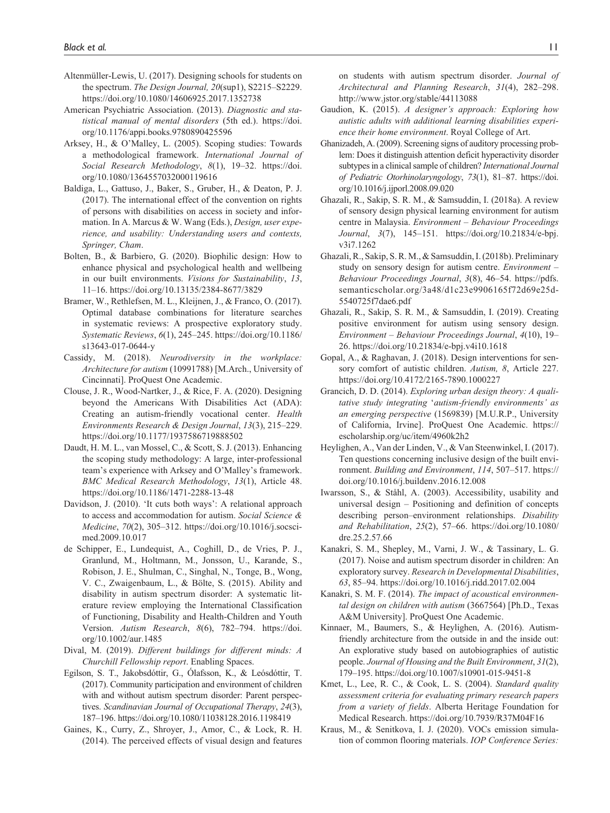- Altenmüller-Lewis, U. (2017). Designing schools for students on the spectrum. *The Design Journal, 20*(sup1), S2215–S2229. <https://doi.org/10.1080/14606925.2017.1352738>
- American Psychiatric Association. (2013). *Diagnostic and statistical manual of mental disorders* (5th ed.). [https://doi.](https://doi.org/10.1176/appi.books.9780890425596) [org/10.1176/appi.books.9780890425596](https://doi.org/10.1176/appi.books.9780890425596)
- Arksey, H., & O'Malley, L. (2005). Scoping studies: Towards a methodological framework. *International Journal of Social Research Methodology*, *8*(1), 19–32. [https://doi.](https://doi.org/10.1080/1364557032000119616) [org/10.1080/1364557032000119616](https://doi.org/10.1080/1364557032000119616)
- Baldiga, L., Gattuso, J., Baker, S., Gruber, H., & Deaton, P. J. (2017). The international effect of the convention on rights of persons with disabilities on access in society and information. In A. Marcus & W. Wang (Eds.), *Design, user experience, and usability: Understanding users and contexts, Springer, Cham*.
- Bolten, B., & Barbiero, G. (2020). Biophilic design: How to enhance physical and psychological health and wellbeing in our built environments. *Visions for Sustainability*, *13*, 11–16.<https://doi.org/10.13135/2384-8677/3829>
- Bramer, W., Rethlefsen, M. L., Kleijnen, J., & Franco, O. (2017). Optimal database combinations for literature searches in systematic reviews: A prospective exploratory study. *Systematic Reviews*, *6*(1), 245–245. [https://doi.org/10.1186/](https://doi.org/10.1186/s13643-017-0644-y) [s13643-017-0644-y](https://doi.org/10.1186/s13643-017-0644-y)
- Cassidy, M. (2018). *Neurodiversity in the workplace: Architecture for autism* (10991788) [M.Arch., University of Cincinnati]. ProQuest One Academic.
- Clouse, J. R., Wood-Nartker, J., & Rice, F. A. (2020). Designing beyond the Americans With Disabilities Act (ADA): Creating an autism-friendly vocational center. *Health Environments Research & Design Journal*, *13*(3), 215–229. <https://doi.org/10.1177/1937586719888502>
- Daudt, H. M. L., van Mossel, C., & Scott, S. J. (2013). Enhancing the scoping study methodology: A large, inter-professional team's experience with Arksey and O'Malley's framework. *BMC Medical Research Methodology*, *13*(1), Article 48. <https://doi.org/10.1186/1471-2288-13-48>
- Davidson, J. (2010). 'It cuts both ways': A relational approach to access and accommodation for autism. *Social Science & Medicine*, *70*(2), 305–312. [https://doi.org/10.1016/j.socsci](https://doi.org/10.1016/j.socscimed.2009.10.017)[med.2009.10.017](https://doi.org/10.1016/j.socscimed.2009.10.017)
- de Schipper, E., Lundequist, A., Coghill, D., de Vries, P. J., Granlund, M., Holtmann, M., Jonsson, U., Karande, S., Robison, J. E., Shulman, C., Singhal, N., Tonge, B., Wong, V. C., Zwaigenbaum, L., & Bölte, S. (2015). Ability and disability in autism spectrum disorder: A systematic literature review employing the International Classification of Functioning, Disability and Health-Children and Youth Version. *Autism Research*, *8*(6), 782–794. [https://doi.](https://doi.org/10.1002/aur.1485) [org/10.1002/aur.1485](https://doi.org/10.1002/aur.1485)
- Dival, M. (2019). *Different buildings for different minds: A Churchill Fellowship report*. Enabling Spaces.
- Egilson, S. T., Jakobsdóttir, G., Ólafsson, K., & Leósdóttir, T. (2017). Community participation and environment of children with and without autism spectrum disorder: Parent perspectives. *Scandinavian Journal of Occupational Therapy*, *24*(3), 187–196.<https://doi.org/10.1080/11038128.2016.1198419>
- Gaines, K., Curry, Z., Shroyer, J., Amor, C., & Lock, R. H. (2014). The perceived effects of visual design and features

on students with autism spectrum disorder. *Journal of Architectural and Planning Research*, *31*(4), 282–298. <http://www.jstor.org/stable/44113088>

- Gaudion, K. (2015). *A designer's approach: Exploring how autistic adults with additional learning disabilities experience their home environment*. Royal College of Art.
- Ghanizadeh, A. (2009). Screening signs of auditory processing problem: Does it distinguish attention deficit hyperactivity disorder subtypes in a clinical sample of children? *International Journal of Pediatric Otorhinolaryngology*, *73*(1), 81–87. [https://doi.](https://doi.org/10.1016/j.ijporl.2008.09.020) [org/10.1016/j.ijporl.2008.09.020](https://doi.org/10.1016/j.ijporl.2008.09.020)
- Ghazali, R., Sakip, S. R. M., & Samsuddin, I. (2018a). A review of sensory design physical learning environment for autism centre in Malaysia. *Environment – Behaviour Proceedings Journal*, *3*(7), 145–151. [https://doi.org/10.21834/e-bpj.](https://doi.org/10.21834/e-bpj.v3i7.1262) [v3i7.1262](https://doi.org/10.21834/e-bpj.v3i7.1262)
- Ghazali, R., Sakip, S. R. M., & Samsuddin, I. (2018b). Preliminary study on sensory design for autism centre. *Environment – Behaviour Proceedings Journal*, *3*(8), 46–54. [https://pdfs.](https://pdfs.semanticscholar.org/3a48/d1c23e9906165f72d69e25d5540725f7dae6.pdf) [semanticscholar.org/3a48/d1c23e9906165f72d69e25d-](https://pdfs.semanticscholar.org/3a48/d1c23e9906165f72d69e25d5540725f7dae6.pdf)[5540725f7dae6.pdf](https://pdfs.semanticscholar.org/3a48/d1c23e9906165f72d69e25d5540725f7dae6.pdf)
- Ghazali, R., Sakip, S. R. M., & Samsuddin, I. (2019). Creating positive environment for autism using sensory design. *Environment – Behaviour Proceedings Journal*, *4*(10), 19– 26. <https://doi.org/10.21834/e-bpj.v4i10.1618>
- Gopal, A., & Raghavan, J. (2018). Design interventions for sensory comfort of autistic children. *Autism, 8*, Article 227. <https://doi.org/10.4172/2165-7890.1000227>
- Grancich, D. D. (2014). *Exploring urban design theory: A qualitative study integrating* '*autism-friendly environments' as an emerging perspective* (1569839) [M.U.R.P., University of California, Irvine]. ProQuest One Academic. [https://](https://escholarship.org/uc/item/4960k2h2) [escholarship.org/uc/item/4960k2h2](https://escholarship.org/uc/item/4960k2h2)
- Heylighen, A., Van der Linden, V., & Van Steenwinkel, I. (2017). Ten questions concerning inclusive design of the built environment. *Building and Environment*, *114*, 507–517. [https://](https://doi.org/10.1016/j.buildenv.2016.12.008) [doi.org/10.1016/j.buildenv.2016.12.008](https://doi.org/10.1016/j.buildenv.2016.12.008)
- Iwarsson, S., & Ståhl, A. (2003). Accessibility, usability and universal design – Positioning and definition of concepts describing person–environment relationships. *Disability and Rehabilitation*, *25*(2), 57–66. [https://doi.org/10.1080/](https://doi.org/10.1080/dre.25.2.57.66) [dre.25.2.57.66](https://doi.org/10.1080/dre.25.2.57.66)
- Kanakri, S. M., Shepley, M., Varni, J. W., & Tassinary, L. G. (2017). Noise and autism spectrum disorder in children: An exploratory survey. *Research in Developmental Disabilities*, *63*, 85–94. <https://doi.org/10.1016/j.ridd.2017.02.004>
- Kanakri, S. M. F. (2014). *The impact of acoustical environmental design on children with autism* (3667564) [Ph.D., Texas A&M University]. ProQuest One Academic.
- Kinnaer, M., Baumers, S., & Heylighen, A. (2016). Autismfriendly architecture from the outside in and the inside out: An explorative study based on autobiographies of autistic people. *Journal of Housing and the Built Environment*, *31*(2), 179–195.<https://doi.org/10.1007/s10901-015-9451-8>
- Kmet, L., Lee, R. C., & Cook, L. S. (2004). *Standard quality assessment criteria for evaluating primary research papers from a variety of fields*. Alberta Heritage Foundation for Medical Research.<https://doi.org/10.7939/R37M04F16>
- Kraus, M., & Senitkova, I. J. (2020). VOCs emission simulation of common flooring materials. *IOP Conference Series:*